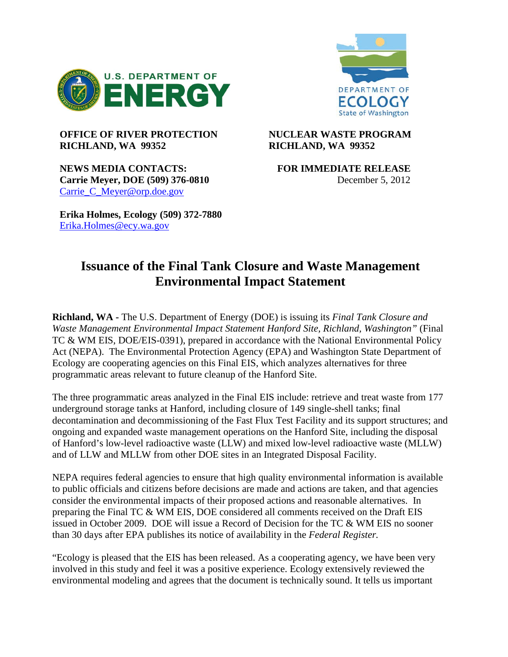



## **OFFICE OF RIVER PROTECTION NUCLEAR WASTE PROGRAM RICHLAND, WA 99352 RICHLAND, WA 99352**

**NEWS MEDIA CONTACTS: FOR IMMEDIATE RELEASE Carrie Meyer, DOE (509) 376-0810** December 5, 2012 Carrie C Meyer@orp.doe.gov

**Erika Holmes, Ecology (509) 372-7880** [Erika.Holmes@ecy.wa.gov](mailto:Erika.Holmes@ecy.wa.gov)

## **Issuance of the Final Tank Closure and Waste Management Environmental Impact Statement**

**Richland, WA -** The U.S. Department of Energy (DOE) is issuing its *Final Tank Closure and Waste Management Environmental Impact Statement Hanford Site, Richland, Washington"* (Final TC & WM EIS, DOE/EIS-0391), prepared in accordance with the National Environmental Policy Act (NEPA). The Environmental Protection Agency (EPA) and Washington State Department of Ecology are cooperating agencies on this Final EIS, which analyzes alternatives for three programmatic areas relevant to future cleanup of the Hanford Site.

The three programmatic areas analyzed in the Final EIS include: retrieve and treat waste from 177 underground storage tanks at Hanford, including closure of 149 single-shell tanks; final decontamination and decommissioning of the Fast Flux Test Facility and its support structures; and ongoing and expanded waste management operations on the Hanford Site, including the disposal of Hanford's low-level radioactive waste (LLW) and mixed low-level radioactive waste (MLLW) and of LLW and MLLW from other DOE sites in an Integrated Disposal Facility.

NEPA requires federal agencies to ensure that high quality environmental information is available to public officials and citizens before decisions are made and actions are taken, and that agencies consider the environmental impacts of their proposed actions and reasonable alternatives. In preparing the Final TC & WM EIS, DOE considered all comments received on the Draft EIS issued in October 2009. DOE will issue a Record of Decision for the TC & WM EIS no sooner than 30 days after EPA publishes its notice of availability in the *Federal Register.*

"Ecology is pleased that the EIS has been released. As a cooperating agency, we have been very involved in this study and feel it was a positive experience. Ecology extensively reviewed the environmental modeling and agrees that the document is technically sound. It tells us important